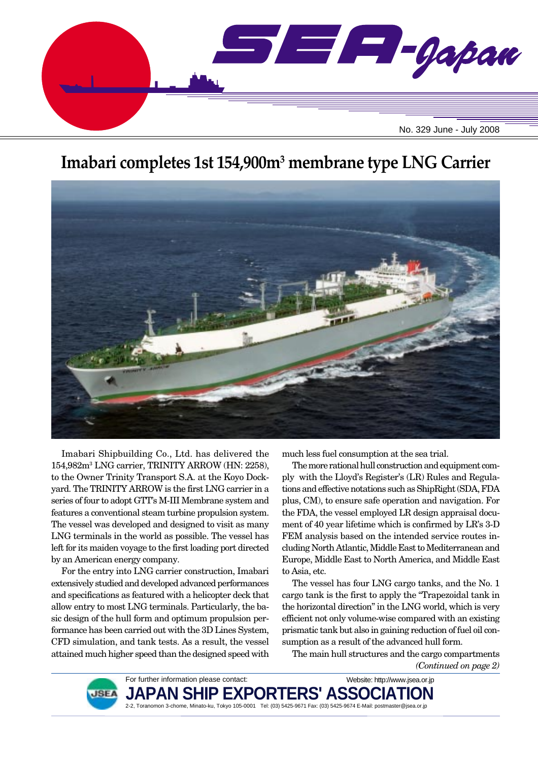

# **Imabari completes 1st 154,900m3 membrane type LNG Carrier**



Imabari Shipbuilding Co., Ltd. has delivered the 154,982m3 LNG carrier, TRINITY ARROW (HN: 2258), to the Owner Trinity Transport S.A. at the Koyo Dockyard. The TRINITY ARROW is the first LNG carrier in a series of four to adopt GTT's M-III Membrane system and features a conventional steam turbine propulsion system. The vessel was developed and designed to visit as many LNG terminals in the world as possible. The vessel has left for its maiden voyage to the first loading port directed by an American energy company.

For the entry into LNG carrier construction, Imabari extensively studied and developed advanced performances and specifications as featured with a helicopter deck that allow entry to most LNG terminals. Particularly, the basic design of the hull form and optimum propulsion performance has been carried out with the 3D Lines System, CFD simulation, and tank tests. As a result, the vessel attained much higher speed than the designed speed with much less fuel consumption at the sea trial.

The more rational hull construction and equipment comply with the Lloyd's Register's (LR) Rules and Regulations and effective notations such as ShipRight (SDA, FDA plus, CM), to ensure safe operation and navigation. For the FDA, the vessel employed LR design appraisal document of 40 year lifetime which is confirmed by LR's 3-D FEM analysis based on the intended service routes including North Atlantic, Middle East to Mediterranean and Europe, Middle East to North America, and Middle East to Asia, etc.

The vessel has four LNG cargo tanks, and the No. 1 cargo tank is the first to apply the "Trapezoidal tank in the horizontal direction" in the LNG world, which is very efficient not only volume-wise compared with an existing prismatic tank but also in gaining reduction of fuel oil consumption as a result of the advanced hull form.

The main hull structures and the cargo compartments *(Continued on page 2)*



**JAPAN SHIP EXPORTERS' ASSOCIA** 2-2, Toranomon 3-chome, Minato-ku, Tokyo 105-0001 Tel: (03) 5425-9671 Fax: (03) 5425-9674 E-Mail: postmaster@jsea.or.jp Website: http://www.jsea.or.jp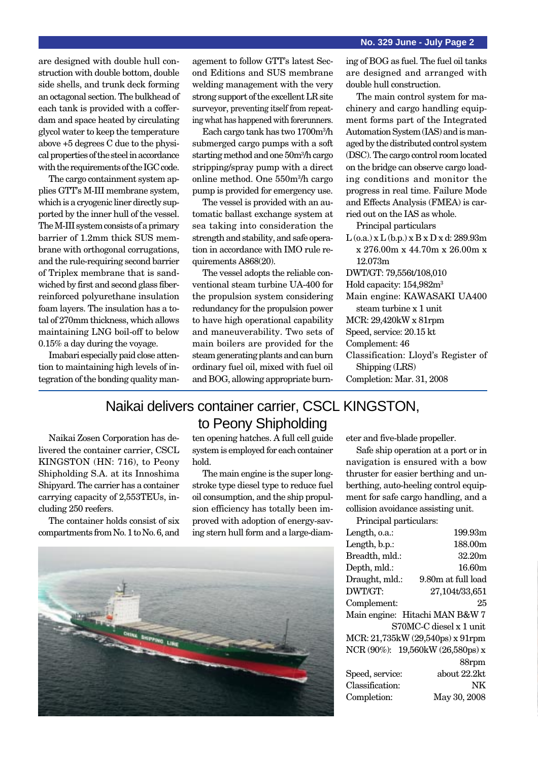are designed with double hull construction with double bottom, double side shells, and trunk deck forming an octagonal section. The bulkhead of each tank is provided with a cofferdam and space heated by circulating glycol water to keep the temperature above +5 degrees C due to the physical properties of the steel in accordance with the requirements of the IGC code.

The cargo containment system applies GTT's M-III membrane system, which is a cryogenic liner directly supported by the inner hull of the vessel. The M-III system consists of a primary barrier of 1.2mm thick SUS membrane with orthogonal corrugations, and the rule-requiring second barrier of Triplex membrane that is sandwiched by first and second glass fiberreinforced polyurethane insulation foam layers. The insulation has a total of 270mm thickness, which allows maintaining LNG boil-off to below 0.15% a day during the voyage.

Imabari especially paid close attention to maintaining high levels of integration of the bonding quality management to follow GTT's latest Second Editions and SUS membrane welding management with the very strong support of the excellent LR site surveyor, preventing itself from repeating what has happened with forerunners.

Each cargo tank has two 1700m3 /h submerged cargo pumps with a soft starting method and one 50m3 /h cargo stripping/spray pump with a direct online method. One 550m3 /h cargo pump is provided for emergency use.

The vessel is provided with an automatic ballast exchange system at sea taking into consideration the strength and stability, and safe operation in accordance with IMO rule requirements A868(20).

The vessel adopts the reliable conventional steam turbine UA-400 for the propulsion system considering redundancy for the propulsion power to have high operational capability and maneuverability. Two sets of main boilers are provided for the steam generating plants and can burn ordinary fuel oil, mixed with fuel oil and BOG, allowing appropriate burning of BOG as fuel. The fuel oil tanks are designed and arranged with double hull construction.

The main control system for machinery and cargo handling equipment forms part of the Integrated Automation System (IAS) and is managed by the distributed control system (DSC). The cargo control room located on the bridge can observe cargo loading conditions and monitor the progress in real time. Failure Mode and Effects Analysis (FMEA) is carried out on the IAS as whole.

Principal particulars

 $L$  (o.a.) x  $L$  (b.p.) x  $B$  x  $D$  x d: 289.93m x 276.00m x 44.70m x 26.00m x 12.073m DWT/GT: 79,556t/108,010 Hold capacity: 154,982m3 Main engine: KAWASAKI UA400 steam turbine x 1 unit MCR: 29,420kW x 81rpm Speed, service: 20.15 kt Complement: 46 Classification: Lloyd's Register of Shipping (LRS) Completion: Mar. 31, 2008

## Naikai delivers container carrier, CSCL KINGSTON, to Peony Shipholding

Naikai Zosen Corporation has delivered the container carrier, CSCL KINGSTON (HN: 716), to Peony Shipholding S.A. at its Innoshima Shipyard. The carrier has a container carrying capacity of 2,553TEUs, including 250 reefers.

The container holds consist of six compartments from No. 1 to No. 6, and ten opening hatches. A full cell guide system is employed for each container hold.

The main engine is the super longstroke type diesel type to reduce fuel oil consumption, and the ship propulsion efficiency has totally been improved with adoption of energy-saving stern hull form and a large-diam-



eter and five-blade propeller.

Safe ship operation at a port or in navigation is ensured with a bow thruster for easier berthing and unberthing, auto-heeling control equipment for safe cargo handling, and a collision avoidance assisting unit.

Principal particulars:

| Length, o.a.:   | 199.93m                          |
|-----------------|----------------------------------|
| Length, b.p.:   | 188.00m                          |
| Breadth, mld.:  | 32.20m                           |
| Depth, mld.:    | 16.60m                           |
| Draught, mld.:  | 9.80m at full load               |
| DWT/GT:         | 27,104t/33,651                   |
| Complement:     | 25                               |
|                 | Main engine: Hitachi MAN B&W 7   |
|                 | S70MC-C diesel x 1 unit          |
|                 | MCR: 21,735kW (29,540ps) x 91rpm |
|                 | NCR (90%): 19,560kW (26,580ps) x |
|                 | 88rpm                            |
| Speed, service: | about 22.2kt                     |
| Classification: | NK                               |
| Completion:     | May 30, 2008                     |
|                 |                                  |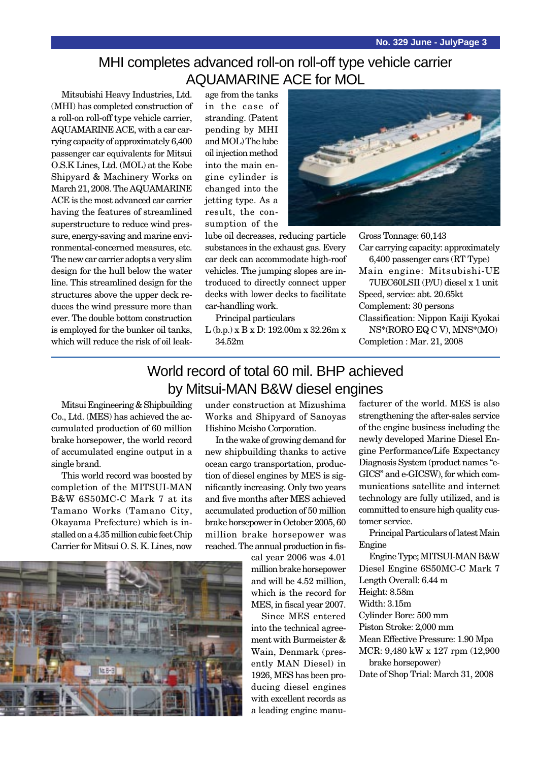# MHI completes advanced roll-on roll-off type vehicle carrier AQUAMARINE ACE for MOL

Mitsubishi Heavy Industries, Ltd. (MHI) has completed construction of a roll-on roll-off type vehicle carrier, AQUAMARINE ACE, with a car carrying capacity of approximately 6,400 passenger car equivalents for Mitsui O.S.K Lines, Ltd. (MOL) at the Kobe Shipyard & Machinery Works on March 21, 2008. The AQUAMARINE ACE is the most advanced car carrier having the features of streamlined superstructure to reduce wind pressure, energy-saving and marine environmental-concerned measures, etc. The new car carrier adopts a very slim design for the hull below the water line. This streamlined design for the structures above the upper deck reduces the wind pressure more than ever. The double bottom construction is employed for the bunker oil tanks, which will reduce the risk of oil leak-

age from the tanks in the case of stranding. (Patent pending by MHI and MOL) The lube oil injection method into the main engine cylinder is changed into the jetting type. As a result, the consumption of the

lube oil decreases, reducing particle substances in the exhaust gas. Every car deck can accommodate high-roof vehicles. The jumping slopes are introduced to directly connect upper decks with lower decks to facilitate car-handling work.

Principal particulars

L (b.p.) x B x D: 192.00m x 32.26m x 34.52m



Gross Tonnage: 60,143 Car carrying capacity: approximately 6,400 passenger cars (RT Type) Main engine: Mitsubishi-UE

7UEC60LSII (P/U) diesel x 1 unit Speed, service: abt. 20.65kt Complement: 30 persons Classification: Nippon Kaiji Kyokai NS\*(RORO EQ C V), MNS\*(MO) Completion : Mar. 21, 2008

# World record of total 60 mil. BHP achieved by Mitsui-MAN B&W diesel engines

Mitsui Engineering & Shipbuilding Co., Ltd. (MES) has achieved the accumulated production of 60 million brake horsepower, the world record of accumulated engine output in a single brand.

This world record was boosted by completion of the MITSUI-MAN B&W 6S50MC-C Mark 7 at its Tamano Works (Tamano City, Okayama Prefecture) which is installed on a 4.35 million cubic feet Chip Carrier for Mitsui O. S. K. Lines, now

under construction at Mizushima Works and Shipyard of Sanoyas Hishino Meisho Corporation.

In the wake of growing demand for new shipbuilding thanks to active ocean cargo transportation, production of diesel engines by MES is significantly increasing. Only two years and five months after MES achieved accumulated production of 50 million brake horsepower in October 2005, 60 million brake horsepower was reached. The annual production in fis-

> cal year 2006 was 4.01 million brake horsepower and will be 4.52 million, which is the record for MES, in fiscal year 2007.

> Since MES entered into the technical agreement with Burmeister & Wain, Denmark (presently MAN Diesel) in 1926, MES has been producing diesel engines with excellent records as a leading engine manu

facturer of the world. MES is also strengthening the after-sales service of the engine business including the newly developed Marine Diesel Engine Performance/Life Expectancy Diagnosis System (product names "e-GICS" and e-GICSW), for which communications satellite and internet technology are fully utilized, and is committed to ensure high quality customer service.

Principal Particulars of latest Main Engine

Engine Type; MITSUI-MAN B&W Diesel Engine 6S50MC-C Mark 7 Length Overall: 6.44 m Height: 8.58m Width: 3.15m

Cylinder Bore: 500 mm Piston Stroke: 2,000 mm

Mean Effective Pressure: 1.90 Mpa

MCR: 9,480 kW x 127 rpm (12,900 brake horsepower)

Date of Shop Trial: March 31, 2008

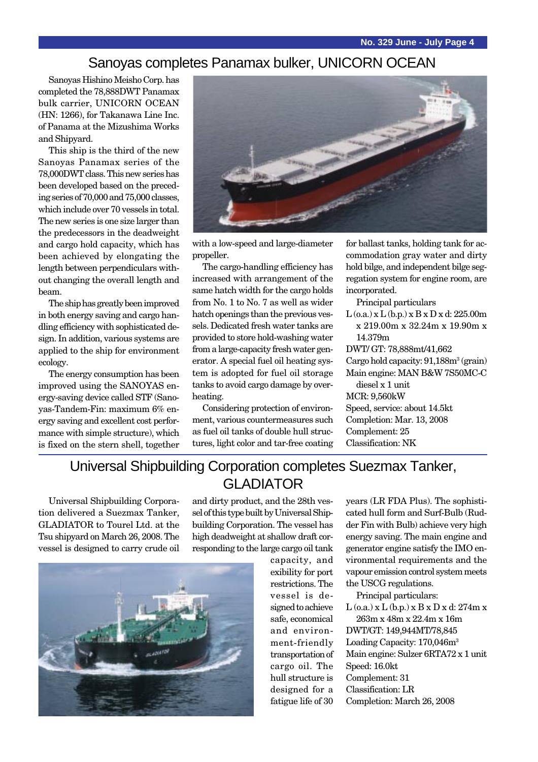### Sanoyas completes Panamax bulker, UNICORN OCEAN

Sanoyas Hishino Meisho Corp. has completed the 78,888DWT Panamax bulk carrier, UNICORN OCEAN (HN: 1266), for Takanawa Line Inc. of Panama at the Mizushima Works and Shipyard.

This ship is the third of the new Sanoyas Panamax series of the 78,000DWT class. This new series has been developed based on the preceding series of 70,000 and 75,000 classes, which include over 70 vessels in total. The new series is one size larger than the predecessors in the deadweight and cargo hold capacity, which has been achieved by elongating the length between perpendiculars without changing the overall length and beam.

The ship has greatly been improved in both energy saving and cargo handling efficiency with sophisticated design. In addition, various systems are applied to the ship for environment ecology.

The energy consumption has been improved using the SANOYAS energy-saving device called STF (Sanoyas-Tandem-Fin: maximum 6% energy saving and excellent cost performance with simple structure), which is fixed on the stern shell, together



with a low-speed and large-diameter propeller.

The cargo-handling efficiency has increased with arrangement of the same hatch width for the cargo holds from No. 1 to No. 7 as well as wider hatch openings than the previous vessels. Dedicated fresh water tanks are provided to store hold-washing water from a large-capacity fresh water generator. A special fuel oil heating system is adopted for fuel oil storage tanks to avoid cargo damage by overheating.

Considering protection of environment, various countermeasures such as fuel oil tanks of double hull structures, light color and tar-free coating for ballast tanks, holding tank for accommodation gray water and dirty hold bilge, and independent bilge segregation system for engine room, are incorporated.

Principal particulars

 $L$  (o.a.) x  $L$  (b.p.) x  $B \times D \times d$ : 225.00m x 219.00m x 32.24m x 19.90m x 14.379m DWT/ GT: 78,888mt/41,662 Cargo hold capacity: 91,188m<sup>3</sup> (grain)

Main engine: MAN B&W 7S50MC-C diesel x 1 unit

MCR: 9,560kW Speed, service: about 14.5kt Completion: Mar. 13, 2008 Complement: 25 Classification: NK

# Universal Shipbuilding Corporation completes Suezmax Tanker, GLADIATOR

Universal Shipbuilding Corporation delivered a Suezmax Tanker, GLADIATOR to Tourel Ltd. at the Tsu shipyard on March 26, 2008. The vessel is designed to carry crude oil

and dirty product, and the 28th vessel of this type built by Universal Shipbuilding Corporation. The vessel has high deadweight at shallow draft corresponding to the large cargo oil tank

> signed to achieve safe, economical and environment-friendly transportation of cargo oil. The hull structure is designed for a fatigue life of 30

years (LR FDA Plus). The sophisticated hull form and Surf-Bulb (Rudder Fin with Bulb) achieve very high energy saving. The main engine and generator engine satisfy the IMO environmental requirements and the vapour emission control system meets the USCG regulations. capacity, and exibility for port restrictions. The vessel is de-

Principal particulars:

 $L$  (o.a.)  $x L$  (b.p.)  $x B x D x d$ : 274m  $x$ 263m x 48m x 22.4m x 16m

DWT/GT: 149,944MT/78,845 Loading Capacity: 170,046m3 Main engine: Sulzer 6RTA72 x 1 unit Speed: 16.0kt Complement: 31 Classification: LR Completion: March 26, 2008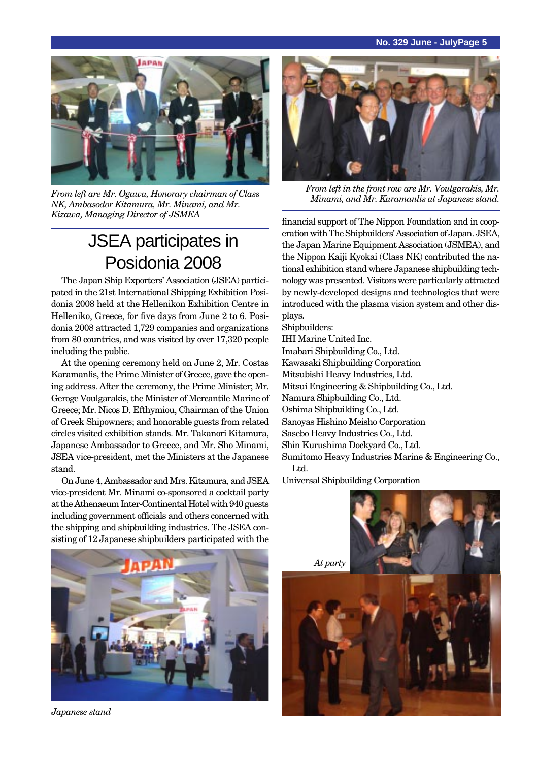#### **No. 329 June - JulyPage 5**



*Minami, and Mr. Karamanlis at Japanese stand. From left are Mr. Ogawa, Honorary chairman of Class NK, Ambasodor Kitamura, Mr. Minami, and Mr. Kizawa, Managing Director of JSMEA*

# JSEA participates in Posidonia 2008

The Japan Ship Exporters' Association (JSEA) participated in the 21st International Shipping Exhibition Posidonia 2008 held at the Hellenikon Exhibition Centre in Helleniko, Greece, for five days from June 2 to 6. Posidonia 2008 attracted 1,729 companies and organizations from 80 countries, and was visited by over 17,320 people including the public.

At the opening ceremony held on June 2, Mr. Costas Karamanlis, the Prime Minister of Greece, gave the opening address. After the ceremony, the Prime Minister; Mr. Geroge Voulgarakis, the Minister of Mercantile Marine of Greece; Mr. Nicos D. Efthymiou, Chairman of the Union of Greek Shipowners; and honorable guests from related circles visited exhibition stands. Mr. Takanori Kitamura, Japanese Ambassador to Greece, and Mr. Sho Minami, JSEA vice-president, met the Ministers at the Japanese stand.

On June 4, Ambassador and Mrs. Kitamura, and JSEA vice-president Mr. Minami co-sponsored a cocktail party at the Athenaeum Inter-Continental Hotel with 940 guests including government officials and others concerned with the shipping and shipbuilding industries. The JSEA consisting of 12 Japanese shipbuilders participated with the



*From left in the front row are Mr. Voulgarakis, Mr.*

financial support of The Nippon Foundation and in cooperation with The Shipbuilders' Association of Japan. JSEA, the Japan Marine Equipment Association (JSMEA), and the Nippon Kaiji Kyokai (Class NK) contributed the national exhibition stand where Japanese shipbuilding technology was presented. Visitors were particularly attracted by newly-developed designs and technologies that were introduced with the plasma vision system and other displays.

Shipbuilders:

- IHI Marine United Inc.
- Imabari Shipbuilding Co., Ltd.
- Kawasaki Shipbuilding Corporation
- Mitsubishi Heavy Industries, Ltd.
- Mitsui Engineering & Shipbuilding Co., Ltd.
- Namura Shipbuilding Co., Ltd.
- Oshima Shipbuilding Co., Ltd.
- Sanoyas Hishino Meisho Corporation
- Sasebo Heavy Industries Co., Ltd.
- Shin Kurushima Dockyard Co., Ltd.

Sumitomo Heavy Industries Marine & Engineering Co., Ltd.

Universal Shipbuilding Corporation



*Japanese stand*